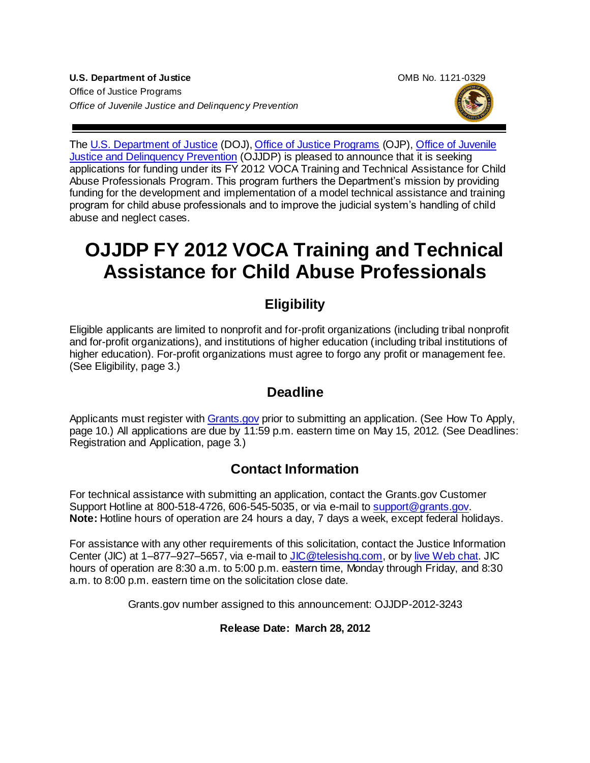



The [U.S. Department of Justice](http://www.justice.gov/) (DOJ)[, Office of Justice Programs](http://www.ojp.usdoj.gov/) (OJP), [Office of Juvenile](http://www.ojjdp.gov/)  [Justice and Delinquency Prevention](http://www.ojjdp.gov/) (OJJDP) is pleased to announce that it is seeking applications for funding under its FY 2012 VOCA Training and Technical Assistance for Child Abuse Professionals Program. This program furthers the Department's mission by providing funding for the development and implementation of a model technical assistance and training program for child abuse professionals and to improve the judicial system's handling of child abuse and neglect cases.

# **OJJDP FY 2012 VOCA Training and Technical Assistance for Child Abuse Professionals**

# **Eligibility**

Eligible applicants are limited to nonprofit and for-profit organizations (including tribal nonprofit and for-profit organizations), and institutions of higher education (including tribal institutions of higher education). For-profit organizations must agree to forgo any profit or management fee. (See Eligibility, page 3.)

## **Deadline**

Applicants must register with [Grants.gov](http://www.grants.gov/) prior to submitting an application. (See How To Apply, page 10.) All applications are due by 11:59 p.m. eastern time on May 15, 2012*.* (See Deadlines: Registration and Application, page 3*.*)

## **Contact Information**

For technical assistance with submitting an application, contact the Grants.gov Customer Support Hotline at 800-518-4726, 606-545-5035, or via e-mail to [support@grants.gov.](mailto:support@grants.gov) **Note:** Hotline hours of operation are 24 hours a day, 7 days a week, except federal holidays.

For assistance with any other requirements of this solicitation, contact the Justice Information Center (JIC) at 1–877–927–5657, via e-mail to [JIC@telesishq.com,](mailto:JIC@telesishq.com) or by [live Web chat.](http://www.justiceinformationcenter.us/) JIC hours of operation are 8:30 a.m. to 5:00 p.m. eastern time, Monday through Friday, and 8:30 a.m. to 8:00 p.m. eastern time on the solicitation close date.

Grants.gov number assigned to this announcement: OJJDP-2012-3243

#### **Release Date: March 28, 2012**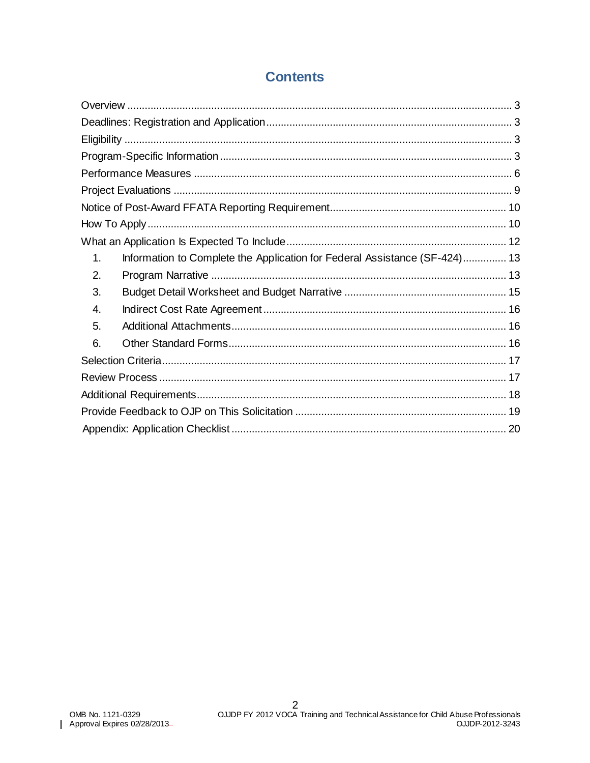### **Contents**

| Information to Complete the Application for Federal Assistance (SF-424) 13<br>1. |  |
|----------------------------------------------------------------------------------|--|
| 2.                                                                               |  |
| 3.                                                                               |  |
| 4.                                                                               |  |
| 5.                                                                               |  |
| 6.                                                                               |  |
|                                                                                  |  |
|                                                                                  |  |
|                                                                                  |  |
|                                                                                  |  |
|                                                                                  |  |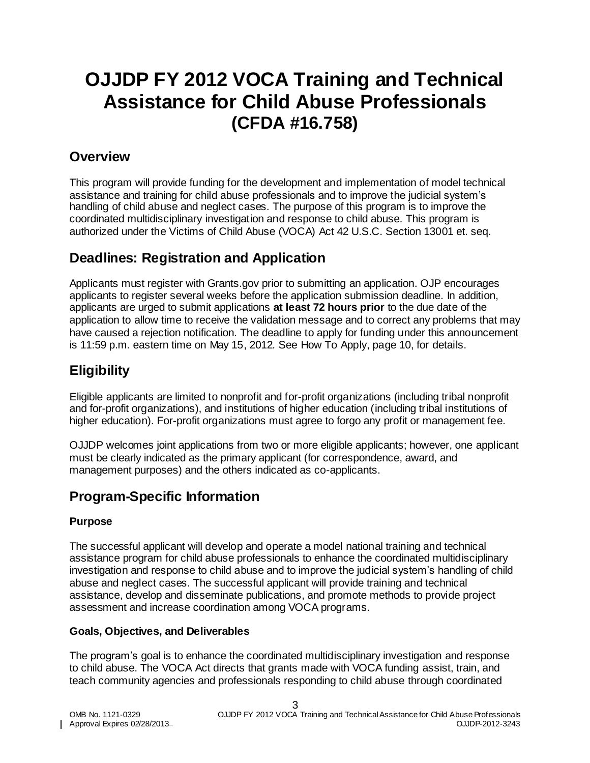# **OJJDP FY 2012 VOCA Training and Technical Assistance for Child Abuse Professionals (CFDA #16.758)**

### <span id="page-2-0"></span>**Overview**

This program will provide funding for the development and implementation of model technical assistance and training for child abuse professionals and to improve the judicial system's handling of child abuse and neglect cases. The purpose of this program is to improve the coordinated multidisciplinary investigation and response to child abuse. This program is authorized under the Victims of Child Abuse (VOCA) Act 42 U.S.C. Section 13001 et. seq.

### <span id="page-2-1"></span>**Deadlines: Registration and Application**

Applicants must register with Grants.gov prior to submitting an application. OJP encourages applicants to register several weeks before the application submission deadline. In addition, applicants are urged to submit applications **at least 72 hours prior** to the due date of the application to allow time to receive the validation message and to correct any problems that may have caused a rejection notification. The deadline to apply for funding under this announcement is 11:59 p.m*.* eastern time on May 15, 2012*.* See How To Apply, page 10, for details.

## <span id="page-2-2"></span>**Eligibility**

Eligible applicants are limited to nonprofit and for-profit organizations (including tribal nonprofit and for-profit organizations), and institutions of higher education (including tribal institutions of higher education). For-profit organizations must agree to forgo any profit or management fee.

OJJDP welcomes joint applications from two or more eligible applicants; however, one applicant must be clearly indicated as the primary applicant (for correspondence, award, and management purposes) and the others indicated as co-applicants.

### <span id="page-2-3"></span>**Program-Specific Information**

#### **Purpose**

The successful applicant will develop and operate a model national training and technical assistance program for child abuse professionals to enhance the coordinated multidisciplinary investigation and response to child abuse and to improve the judicial system's handling of child abuse and neglect cases. The successful applicant will provide training and technical assistance, develop and disseminate publications, and promote methods to provide project assessment and increase coordination among VOCA programs.

#### **Goals, Objectives, and Deliverables**

The program's goal is to enhance the coordinated multidisciplinary investigation and response to child abuse. The VOCA Act directs that grants made with VOCA funding assist, train, and teach community agencies and professionals responding to child abuse through coordinated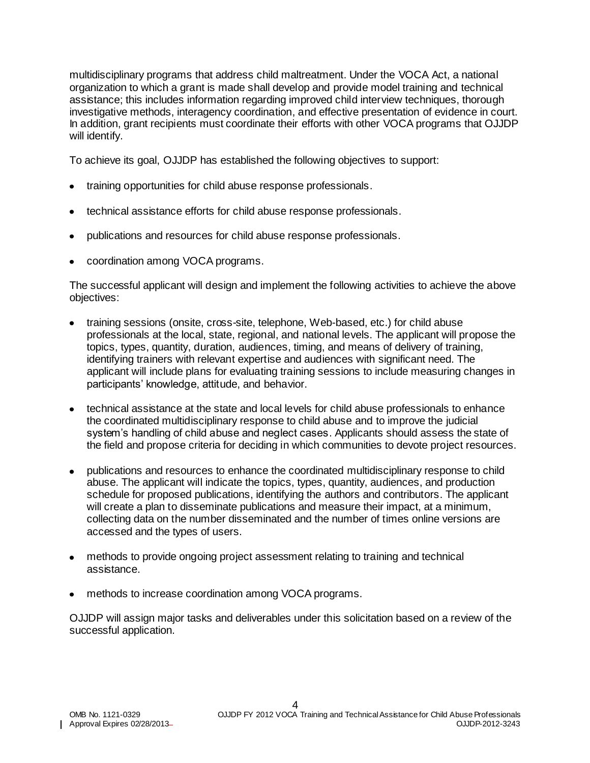multidisciplinary programs that address child maltreatment. Under the VOCA Act, a national organization to which a grant is made shall develop and provide model training and technical assistance; this includes information regarding improved child interview techniques, thorough investigative methods, interagency coordination, and effective presentation of evidence in court. In addition, grant recipients must coordinate their efforts with other VOCA programs that OJJDP will identify.

To achieve its goal, OJJDP has established the following objectives to support:

- training opportunities for child abuse response professionals.
- technical assistance efforts for child abuse response professionals.
- publications and resources for child abuse response professionals.
- coordination among VOCA programs.

The successful applicant will design and implement the following activities to achieve the above objectives:

- training sessions (onsite, cross-site, telephone, Web-based, etc.) for child abuse professionals at the local, state, regional, and national levels. The applicant will propose the topics, types, quantity, duration, audiences, timing, and means of delivery of training, identifying trainers with relevant expertise and audiences with significant need. The applicant will include plans for evaluating training sessions to include measuring changes in participants' knowledge, attitude, and behavior.
- technical assistance at the state and local levels for child abuse professionals to enhance the coordinated multidisciplinary response to child abuse and to improve the judicial system's handling of child abuse and neglect cases. Applicants should assess the state of the field and propose criteria for deciding in which communities to devote project resources.
- publications and resources to enhance the coordinated multidisciplinary response to child abuse. The applicant will indicate the topics, types, quantity, audiences, and production schedule for proposed publications, identifying the authors and contributors. The applicant will create a plan to disseminate publications and measure their impact, at a minimum, collecting data on the number disseminated and the number of times online versions are accessed and the types of users.
- methods to provide ongoing project assessment relating to training and technical assistance.
- methods to increase coordination among VOCA programs.

OJJDP will assign major tasks and deliverables under this solicitation based on a review of the successful application.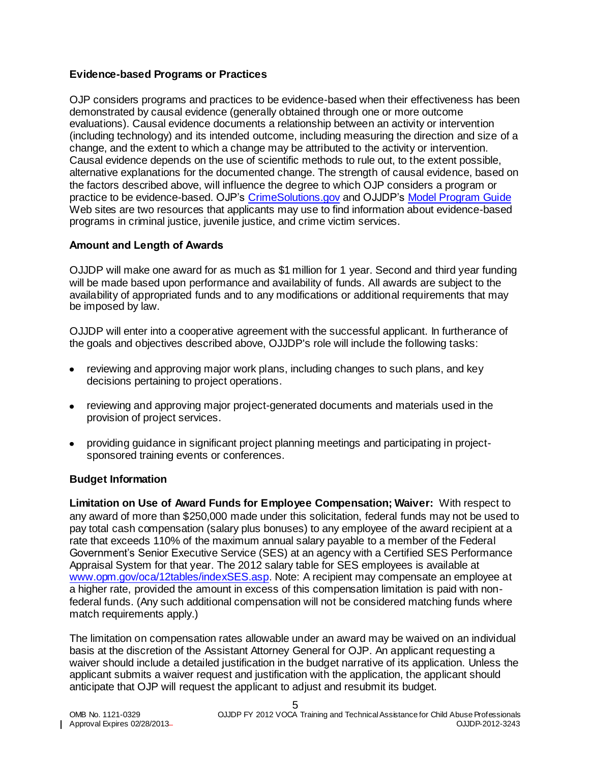#### **Evidence-based Programs or Practices**

OJP considers programs and practices to be evidence-based when their effectiveness has been demonstrated by causal evidence (generally obtained through one or more outcome evaluations). Causal evidence documents a relationship between an activity or intervention (including technology) and its intended outcome, including measuring the direction and size of a change, and the extent to which a change may be attributed to the activity or intervention. Causal evidence depends on the use of scientific methods to rule out, to the extent possible, alternative explanations for the documented change. The strength of causal evidence, based on the factors described above, will influence the degree to which OJP considers a program or practice to be evidence-based. OJP's [CrimeSolutions.gov](http://www.crimesolutions.gov/) and OJJDP's [Model Program Guide](http://www.ojjdp.gov/mpg/) Web sites are two resources that applicants may use to find information about evidence-based programs in criminal justice, juvenile justice, and crime victim services.

#### **Amount and Length of Awards**

OJJDP will make one award for as much as \$1 million for 1 year. Second and third year funding will be made based upon performance and availability of funds. All awards are subject to the availability of appropriated funds and to any modifications or additional requirements that may be imposed by law.

OJJDP will enter into a cooperative agreement with the successful applicant. In furtherance of the goals and objectives described above, OJJDP's role will include the following tasks:

- reviewing and approving major work plans, including changes to such plans, and key decisions pertaining to project operations.
- reviewing and approving major project-generated documents and materials used in the provision of project services.
- providing guidance in significant project planning meetings and participating in projectsponsored training events or conferences.

#### **Budget Information**

**Limitation on Use of Award Funds for Employee Compensation; Waiver:** With respect to any award of more than \$250,000 made under this solicitation, federal funds may not be used to pay total cash compensation (salary plus bonuses) to any employee of the award recipient at a rate that exceeds 110% of the maximum annual salary payable to a member of the Federal Government's Senior Executive Service (SES) at an agency with a Certified SES Performance Appraisal System for that year. The 2012 salary table for SES employees is available at [www.opm.gov/oca/12tables/indexSES.asp.](http://www.opm.gov/oca/12tables/indexSES.asp) Note: A recipient may compensate an employee at a higher rate, provided the amount in excess of this compensation limitation is paid with nonfederal funds. (Any such additional compensation will not be considered matching funds where match requirements apply.)

The limitation on compensation rates allowable under an award may be waived on an individual basis at the discretion of the Assistant Attorney General for OJP. An applicant requesting a waiver should include a detailed justification in the budget narrative of its application. Unless the applicant submits a waiver request and justification with the application, the applicant should anticipate that OJP will request the applicant to adjust and resubmit its budget.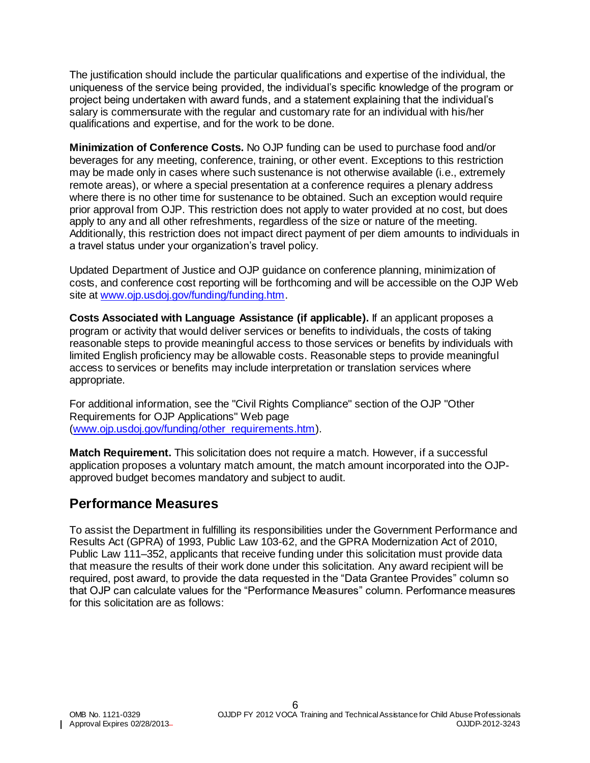The justification should include the particular qualifications and expertise of the individual, the uniqueness of the service being provided, the individual's specific knowledge of the program or project being undertaken with award funds, and a statement explaining that the individual's salary is commensurate with the regular and customary rate for an individual with his/her qualifications and expertise, and for the work to be done.

**Minimization of Conference Costs.** No OJP funding can be used to purchase food and/or beverages for any meeting, conference, training, or other event. Exceptions to this restriction may be made only in cases where such sustenance is not otherwise available (i.e., extremely remote areas), or where a special presentation at a conference requires a plenary address where there is no other time for sustenance to be obtained. Such an exception would require prior approval from OJP. This restriction does not apply to water provided at no cost, but does apply to any and all other refreshments, regardless of the size or nature of the meeting. Additionally, this restriction does not impact direct payment of per diem amounts to individuals in a travel status under your organization's travel policy.

Updated Department of Justice and OJP guidance on conference planning, minimization of costs, and conference cost reporting will be forthcoming and will be accessible on the OJP Web site at [www.ojp.usdoj.gov/funding/funding.htm.](http://www.ojp.usdoj.gov/funding/funding.htm)

**Costs Associated with Language Assistance (if applicable).** If an applicant proposes a program or activity that would deliver services or benefits to individuals, the costs of taking reasonable steps to provide meaningful access to those services or benefits by individuals with limited English proficiency may be allowable costs. Reasonable steps to provide meaningful access to services or benefits may include interpretation or translation services where appropriate.

For additional information, see the "Civil Rights Compliance" section of the OJP "Other Requirements for OJP Applications" Web page [\(www.ojp.usdoj.gov/funding/other\\_requirements.htm\)](http://www.ojp.usdoj.gov/funding/other_requirements.htm).

**Match Requirement.** This solicitation does not require a match. However, if a successful application proposes a voluntary match amount, the match amount incorporated into the OJPapproved budget becomes mandatory and subject to audit.

### <span id="page-5-0"></span>**Performance Measures**

To assist the Department in fulfilling its responsibilities under the Government Performance and Results Act (GPRA) of 1993, Public Law 103-62, and the GPRA Modernization Act of 2010, Public Law 111–352, applicants that receive funding under this solicitation must provide data that measure the results of their work done under this solicitation. Any award recipient will be required, post award, to provide the data requested in the "Data Grantee Provides" column so that OJP can calculate values for the "Performance Measures" column. Performance measures for this solicitation are as follows: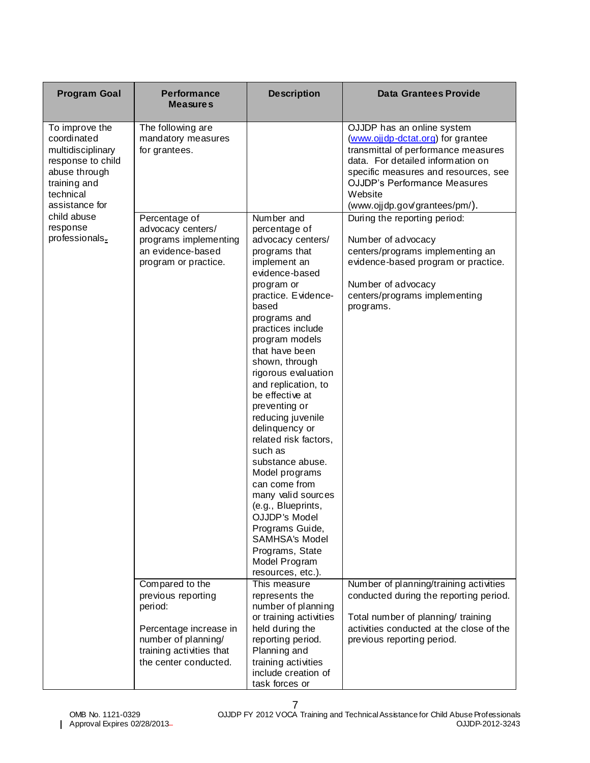| <b>Program Goal</b>                                                                                                                     | <b>Performance</b><br><b>Measures</b>                                                                    | <b>Description</b>                                                                                                                                                                                                                                                                                                                                                                                                                                                                                                                                                                                            | <b>Data Grantees Provide</b>                                                                                                                                                                                                                                           |
|-----------------------------------------------------------------------------------------------------------------------------------------|----------------------------------------------------------------------------------------------------------|---------------------------------------------------------------------------------------------------------------------------------------------------------------------------------------------------------------------------------------------------------------------------------------------------------------------------------------------------------------------------------------------------------------------------------------------------------------------------------------------------------------------------------------------------------------------------------------------------------------|------------------------------------------------------------------------------------------------------------------------------------------------------------------------------------------------------------------------------------------------------------------------|
| To improve the<br>coordinated<br>multidisciplinary<br>response to child<br>abuse through<br>training and<br>technical<br>assistance for | The following are<br>mandatory measures<br>for grantees.                                                 |                                                                                                                                                                                                                                                                                                                                                                                                                                                                                                                                                                                                               | OJJDP has an online system<br>(www.ojjdp-dctat.org) for grantee<br>transmittal of performance measures<br>data. For detailed information on<br>specific measures and resources, see<br><b>OJJDP's Performance Measures</b><br>Website<br>(www.ojjdp.gov/grantees/pm/). |
| child abuse<br>response<br>professionals.                                                                                               | Percentage of<br>advocacy centers/<br>programs implementing<br>an evidence-based<br>program or practice. | Number and<br>percentage of<br>advocacy centers/<br>programs that<br>implement an<br>evidence-based<br>program or<br>practice. Evidence-<br>based<br>programs and<br>practices include<br>program models<br>that have been<br>shown, through<br>rigorous evaluation<br>and replication, to<br>be effective at<br>preventing or<br>reducing juvenile<br>delinquency or<br>related risk factors,<br>such as<br>substance abuse.<br>Model programs<br>can come from<br>many valid sources<br>(e.g., Blueprints,<br>OJJDP's Model<br>Programs Guide,<br><b>SAMHSA's Model</b><br>Programs, State<br>Model Program | During the reporting period:<br>Number of advocacy<br>centers/programs implementing an<br>evidence-based program or practice.<br>Number of advocacy<br>centers/programs implementing<br>programs.                                                                      |
|                                                                                                                                         | Compared to the<br>previous reporting<br>period:                                                         | resources, etc.).<br>This measure<br>represents the<br>number of planning<br>or training activities                                                                                                                                                                                                                                                                                                                                                                                                                                                                                                           | Number of planning/training activities<br>conducted during the reporting period.<br>Total number of planning/ training                                                                                                                                                 |
|                                                                                                                                         | Percentage increase in<br>number of planning/<br>training activities that<br>the center conducted.       | held during the<br>reporting period.<br>Planning and<br>training activities<br>include creation of<br>task forces or                                                                                                                                                                                                                                                                                                                                                                                                                                                                                          | activities conducted at the close of the<br>previous reporting period.                                                                                                                                                                                                 |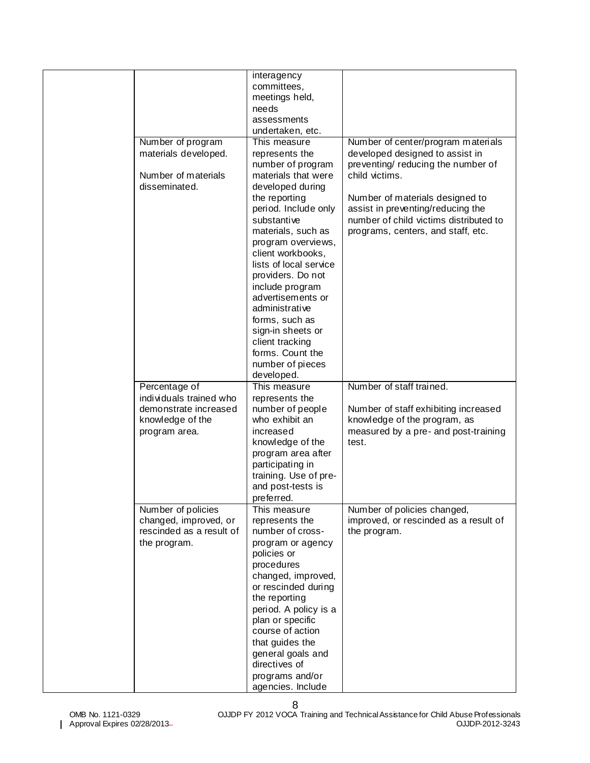| Number of program<br>materials developed.<br>Number of materials<br>disseminated.                      | interagency<br>committees,<br>meetings held,<br>needs<br>assessments<br>undertaken, etc.<br>This measure<br>represents the<br>number of program<br>materials that were<br>developed during<br>the reporting                                                                                                                          | Number of center/program materials<br>developed designed to assist in<br>preventing/reducing the number of<br>child victims.<br>Number of materials designed to |
|--------------------------------------------------------------------------------------------------------|--------------------------------------------------------------------------------------------------------------------------------------------------------------------------------------------------------------------------------------------------------------------------------------------------------------------------------------|-----------------------------------------------------------------------------------------------------------------------------------------------------------------|
|                                                                                                        | period. Include only<br>substantive<br>materials, such as<br>program overviews,<br>client workbooks,<br>lists of local service<br>providers. Do not<br>include program<br>advertisements or<br>administrative<br>forms, such as<br>sign-in sheets or<br>client tracking<br>forms. Count the<br>number of pieces<br>developed.        | assist in preventing/reducing the<br>number of child victims distributed to<br>programs, centers, and staff, etc.                                               |
|                                                                                                        |                                                                                                                                                                                                                                                                                                                                      |                                                                                                                                                                 |
| Percentage of<br>individuals trained who<br>demonstrate increased<br>knowledge of the<br>program area. | This measure<br>represents the<br>number of people<br>who exhibit an<br>increased<br>knowledge of the<br>program area after<br>participating in<br>training. Use of pre-<br>and post-tests is<br>preferred.                                                                                                                          | Number of staff trained.<br>Number of staff exhibiting increased<br>knowledge of the program, as<br>measured by a pre- and post-training<br>test.               |
| Number of policies<br>changed, improved, or<br>rescinded as a result of<br>the program.                | This measure<br>represents the<br>number of cross-<br>program or agency<br>policies or<br>procedures<br>changed, improved,<br>or rescinded during<br>the reporting<br>period. A policy is a<br>plan or specific<br>course of action<br>that guides the<br>general goals and<br>directives of<br>programs and/or<br>agencies. Include | Number of policies changed,<br>improved, or rescinded as a result of<br>the program.                                                                            |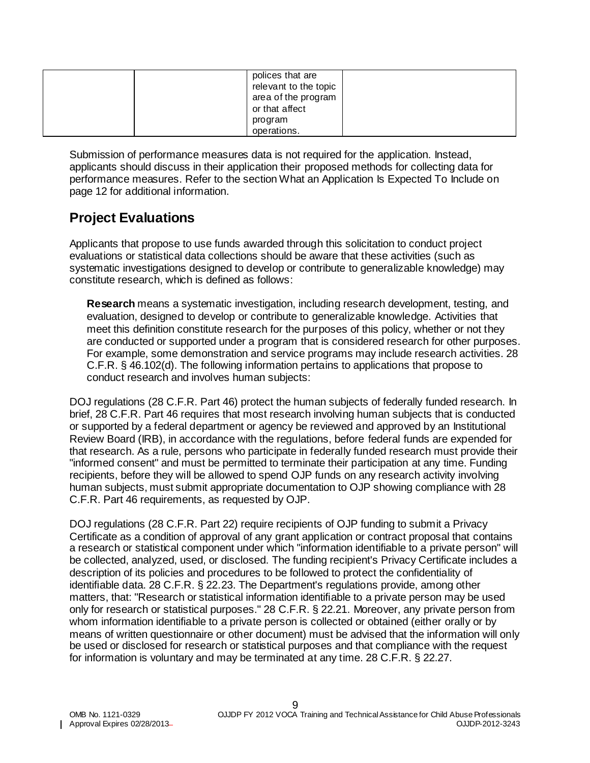| polices that are<br>relevant to the topic<br>area of the program<br>or that affect<br>program |
|-----------------------------------------------------------------------------------------------|
| operations.                                                                                   |

Submission of performance measures data is not required for the application. Instead, applicants should discuss in their application their proposed methods for collecting data for performance measures. Refer to the section What an Application Is Expected To Include on page 12 for additional information.

### <span id="page-8-0"></span>**Project Evaluations**

Applicants that propose to use funds awarded through this solicitation to conduct project evaluations or statistical data collections should be aware that these activities (such as systematic investigations designed to develop or contribute to generalizable knowledge) may constitute research, which is defined as follows:

**Research** means a systematic investigation, including research development, testing, and evaluation, designed to develop or contribute to generalizable knowledge. Activities that meet this definition constitute research for the purposes of this policy, whether or not they are conducted or supported under a program that is considered research for other purposes. For example, some demonstration and service programs may include research activities. 28 C.F.R. § 46.102(d). The following information pertains to applications that propose to conduct research and involves human subjects:

DOJ regulations (28 C.F.R. Part 46) protect the human subjects of federally funded research. In brief, 28 C.F.R. Part 46 requires that most research involving human subjects that is conducted or supported by a federal department or agency be reviewed and approved by an Institutional Review Board (IRB), in accordance with the regulations, before federal funds are expended for that research. As a rule, persons who participate in federally funded research must provide their "informed consent" and must be permitted to terminate their participation at any time. Funding recipients, before they will be allowed to spend OJP funds on any research activity involving human subjects, must submit appropriate documentation to OJP showing compliance with 28 C.F.R. Part 46 requirements, as requested by OJP.

DOJ regulations (28 C.F.R. Part 22) require recipients of OJP funding to submit a Privacy Certificate as a condition of approval of any grant application or contract proposal that contains a research or statistical component under which "information identifiable to a private person" will be collected, analyzed, used, or disclosed. The funding recipient's Privacy Certificate includes a description of its policies and procedures to be followed to protect the confidentiality of identifiable data. 28 C.F.R. § 22.23. The Department's regulations provide, among other matters, that: "Research or statistical information identifiable to a private person may be used only for research or statistical purposes." 28 C.F.R. § 22.21. Moreover, any private person from whom information identifiable to a private person is collected or obtained (either orally or by means of written questionnaire or other document) must be advised that the information will only be used or disclosed for research or statistical purposes and that compliance with the request for information is voluntary and may be terminated at any time. 28 C.F.R. § 22.27.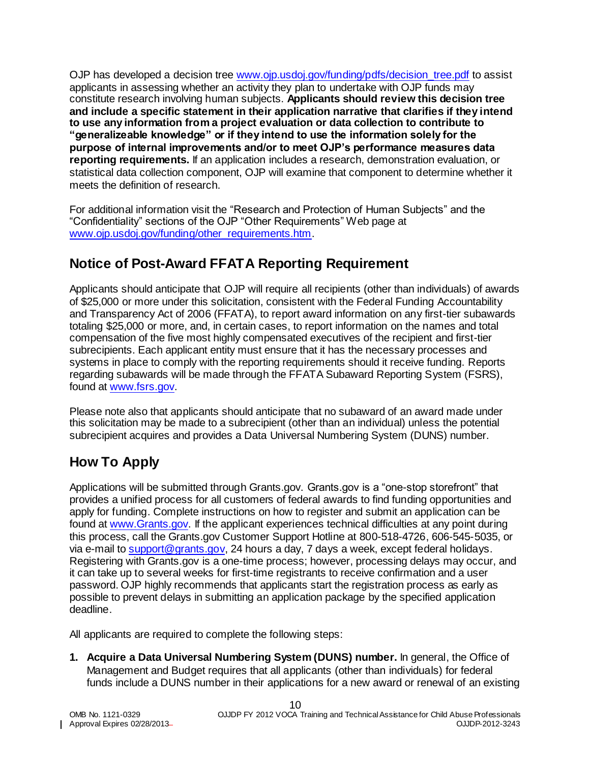OJP has developed a decision tree www.ojp.usdoj.gov/funding/pdfs/decision tree.pdf to assist applicants in assessing whether an activity they plan to undertake with OJP funds may constitute research involving human subjects. **Applicants should review this decision tree and include a specific statement in their application narrative that clarifies if they intend to use any information from a project evaluation or data collection to contribute to "generalizeable knowledge" or if they intend to use the information solely for the purpose of internal improvements and/or to meet OJP's performance measures data reporting requirements.** If an application includes a research, demonstration evaluation, or statistical data collection component, OJP will examine that component to determine whether it meets the definition of research.

For additional information visit the "Research and Protection of Human Subjects" and the "Confidentiality" sections of the OJP "Other Requirements" Web page at [www.ojp.usdoj.gov/funding/other\\_requirements.htm.](file://ojpwasfps02/home/danielsc/A%20OAAM/Solicitation%20WG/www.ojp.usdoj.gov/funding/other_requirements.htm)

### <span id="page-9-0"></span>**Notice of Post-Award FFATA Reporting Requirement**

Applicants should anticipate that OJP will require all recipients (other than individuals) of awards of \$25,000 or more under this solicitation, consistent with the Federal Funding Accountability and Transparency Act of 2006 (FFATA), to report award information on any first-tier subawards totaling \$25,000 or more, and, in certain cases, to report information on the names and total compensation of the five most highly compensated executives of the recipient and first-tier subrecipients. Each applicant entity must ensure that it has the necessary processes and systems in place to comply with the reporting requirements should it receive funding. Reports regarding subawards will be made through the FFATA Subaward Reporting System (FSRS), found at [www.fsrs.gov.](https://www.fsrs.gov/)

Please note also that applicants should anticipate that no subaward of an award made under this solicitation may be made to a subrecipient (other than an individual) unless the potential subrecipient acquires and provides a Data Universal Numbering System (DUNS) number.

## <span id="page-9-1"></span>**How To Apply**

Applications will be submitted through Grants.gov. Grants.gov is a "one-stop storefront" that provides a unified process for all customers of federal awards to find funding opportunities and apply for funding. Complete instructions on how to register and submit an application can be found at [www.Grants.gov.](http://www.grants.gov/) If the applicant experiences technical difficulties at any point during this process, call the Grants.gov Customer Support Hotline at 800-518-4726, 606-545-5035, or via e-mail to [support@grants.gov,](mailto:support@grants.gov) 24 hours a day, 7 days a week, except federal holidays. Registering with Grants.gov is a one-time process; however, processing delays may occur, and it can take up to several weeks for first-time registrants to receive confirmation and a user password. OJP highly recommends that applicants start the registration process as early as possible to prevent delays in submitting an application package by the specified application deadline.

All applicants are required to complete the following steps:

**1. Acquire a Data Universal Numbering System (DUNS) number.** In general, the Office of Management and Budget requires that all applicants (other than individuals) for federal funds include a DUNS number in their applications for a new award or renewal of an existing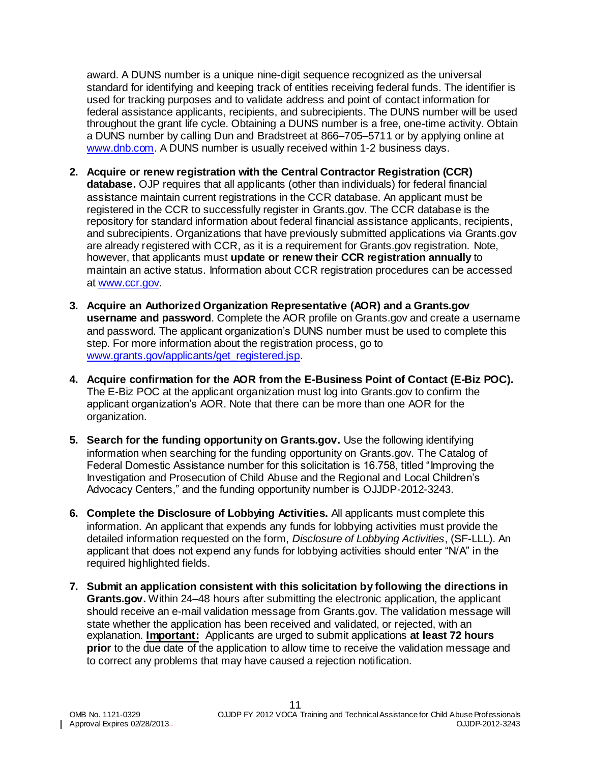award. A DUNS number is a unique nine-digit sequence recognized as the universal standard for identifying and keeping track of entities receiving federal funds. The identifier is used for tracking purposes and to validate address and point of contact information for federal assistance applicants, recipients, and subrecipients. The DUNS number will be used throughout the grant life cycle. Obtaining a DUNS number is a free, one-time activity. Obtain a DUNS number by calling Dun and Bradstreet at 866–705–5711 or by applying online at [www.dnb.com.](http://www.dnb.com/) A DUNS number is usually received within 1-2 business days.

- **2. Acquire or renew registration with the Central Contractor Registration (CCR) database.** OJP requires that all applicants (other than individuals) for federal financial assistance maintain current registrations in the CCR database. An applicant must be registered in the CCR to successfully register in Grants.gov. The CCR database is the repository for standard information about federal financial assistance applicants, recipients, and subrecipients. Organizations that have previously submitted applications via Grants.gov are already registered with CCR, as it is a requirement for Grants.gov registration. Note, however, that applicants must **update or renew their CCR registration annually** to maintain an active status. Information about CCR registration procedures can be accessed at [www.ccr.gov.](http://www.ccr.gov/)
- **3. Acquire an Authorized Organization Representative (AOR) and a Grants.gov username and password**. Complete the AOR profile on Grants.gov and create a username and password. The applicant organization's DUNS number must be used to complete this step. For more information about the registration process, go to [www.grants.gov/applicants/get\\_registered.jsp.](http://www.grants.gov/applicants/get_registered.jsp)
- **4. Acquire confirmation for the AOR from the E-Business Point of Contact (E-Biz POC).**  The E-Biz POC at the applicant organization must log into Grants.gov to confirm the applicant organization's AOR. Note that there can be more than one AOR for the organization.
- **5. Search for the funding opportunity on Grants.gov.** Use the following identifying information when searching for the funding opportunity on Grants.gov. The Catalog of Federal Domestic Assistance number for this solicitation is 16.758, titled "Improving the Investigation and Prosecution of Child Abuse and the Regional and Local Children's Advocacy Centers," and the funding opportunity number is OJJDP-2012-3243.
- **6. Complete the Disclosure of Lobbying Activities.** All applicants must complete this information. An applicant that expends any funds for lobbying activities must provide the detailed information requested on the form, *Disclosure of Lobbying Activities*, (SF-LLL). An applicant that does not expend any funds for lobbying activities should enter "N/A" in the required highlighted fields.
- **7. Submit an application consistent with this solicitation by following the directions in Grants.gov.** Within 24–48 hours after submitting the electronic application, the applicant should receive an e-mail validation message from Grants.gov. The validation message will state whether the application has been received and validated, or rejected, with an explanation. **Important:** Applicants are urged to submit applications **at least 72 hours prior** to the due date of the application to allow time to receive the validation message and to correct any problems that may have caused a rejection notification.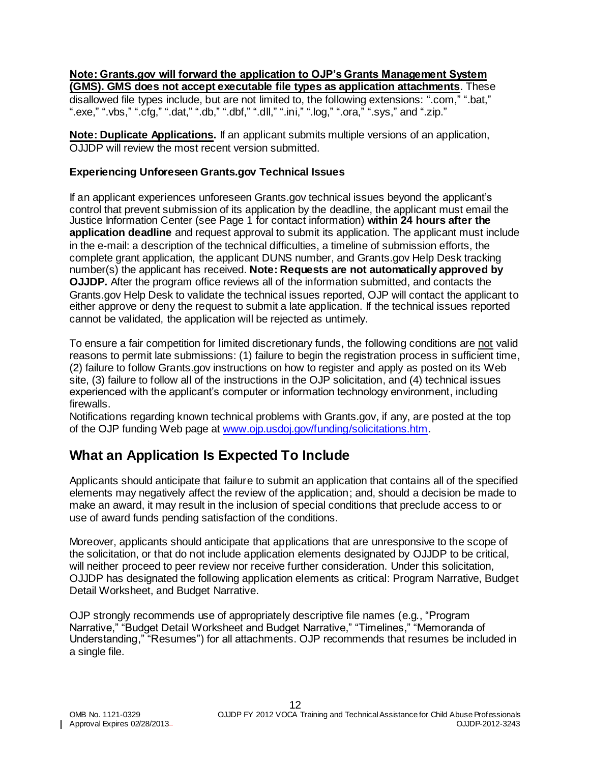#### **Note: Grants.gov will forward the application to OJP's Grants Management System (GMS). GMS does not accept executable file types as application attachments**. These

disallowed file types include, but are not limited to, the following extensions: ".com," ".bat," ".exe," ".vbs," ".cfg," ".dat," ".db," ".dbf," ".dll," ".ini," ".log," ".ora," ".sys," and ".zip."

**Note: Duplicate Applications.** If an applicant submits multiple versions of an application, OJJDP will review the most recent version submitted.

#### **Experiencing Unforeseen Grants.gov Technical Issues**

If an applicant experiences unforeseen Grants.gov technical issues beyond the applicant's control that prevent submission of its application by the deadline, the applicant must email the Justice Information Center (see Page 1 for contact information) **within 24 hours after the application deadline** and request approval to submit its application. The applicant must include in the e-mail: a description of the technical difficulties, a timeline of submission efforts, the complete grant application, the applicant DUNS number, and Grants.gov Help Desk tracking number(s) the applicant has received. **Note: Requests are not automatically approved by OJJDP***.* After the program office reviews all of the information submitted, and contacts the Grants.gov Help Desk to validate the technical issues reported, OJP will contact the applicant to either approve or deny the request to submit a late application. If the technical issues reported cannot be validated, the application will be rejected as untimely.

To ensure a fair competition for limited discretionary funds, the following conditions are not valid reasons to permit late submissions: (1) failure to begin the registration process in sufficient time, (2) failure to follow Grants.gov instructions on how to register and apply as posted on its Web site, (3) failure to follow all of the instructions in the OJP solicitation, and (4) technical issues experienced with the applicant's computer or information technology environment, including firewalls.

Notifications regarding known technical problems with Grants.gov, if any, are posted at the top of the OJP funding Web page at [www.ojp.usdoj.gov/funding/solicitations.htm.](http://www.ojp.usdoj.gov/funding/solicitations.htm)

### <span id="page-11-0"></span>**What an Application Is Expected To Include**

Applicants should anticipate that failure to submit an application that contains all of the specified elements may negatively affect the review of the application; and, should a decision be made to make an award, it may result in the inclusion of special conditions that preclude access to or use of award funds pending satisfaction of the conditions.

Moreover, applicants should anticipate that applications that are unresponsive to the scope of the solicitation, or that do not include application elements designated by OJJDP to be critical, will neither proceed to peer review nor receive further consideration. Under this solicitation, OJJDP has designated the following application elements as critical: Program Narrative, Budget Detail Worksheet, and Budget Narrative.

OJP strongly recommends use of appropriately descriptive file names (e.g*.*, "Program Narrative," "Budget Detail Worksheet and Budget Narrative," "Timelines," "Memoranda of Understanding," "Resumes") for all attachments. OJP recommends that resumes be included in a single file.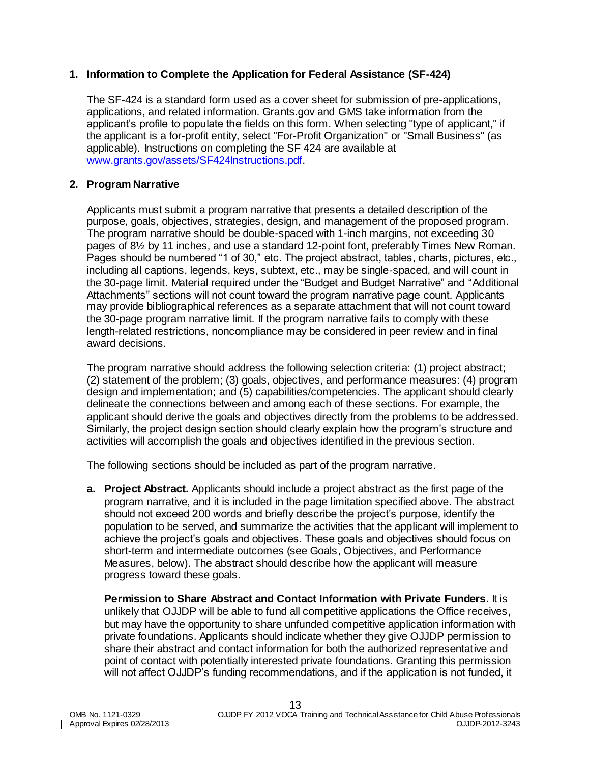#### <span id="page-12-0"></span>**1. Information to Complete the Application for Federal Assistance (SF-424)**

The SF-424 is a standard form used as a cover sheet for submission of pre-applications, applications, and related information. Grants.gov and GMS take information from the applicant's profile to populate the fields on this form. When selecting "type of applicant," if the applicant is a for-profit entity, select "For-Profit Organization" or "Small Business" (as applicable). Instructions on completing the SF 424 are available at [www.grants.gov/assets/SF424Instructions.pdf.](http://www.grants.gov/assets/SF424Instructions.pdf)

#### <span id="page-12-1"></span>**2. Program Narrative**

Applicants must submit a program narrative that presents a detailed description of the purpose, goals, objectives, strategies, design, and management of the proposed program. The program narrative should be double-spaced with 1-inch margins, not exceeding 30 pages of 8½ by 11 inches, and use a standard 12-point font, preferably Times New Roman. Pages should be numbered "1 of 30," etc. The project abstract, tables, charts, pictures, etc., including all captions, legends, keys, subtext, etc., may be single-spaced, and will count in the 30-page limit. Material required under the "Budget and Budget Narrative" and "Additional Attachments" sections will not count toward the program narrative page count. Applicants may provide bibliographical references as a separate attachment that will not count toward the 30-page program narrative limit. If the program narrative fails to comply with these length-related restrictions, noncompliance may be considered in peer review and in final award decisions.

The program narrative should address the following selection criteria: (1) project abstract; (2) statement of the problem; (3) goals, objectives, and performance measures: (4) program design and implementation; and (5) capabilities/competencies. The applicant should clearly delineate the connections between and among each of these sections. For example, the applicant should derive the goals and objectives directly from the problems to be addressed. Similarly, the project design section should clearly explain how the program's structure and activities will accomplish the goals and objectives identified in the previous section.

The following sections should be included as part of the program narrative.

**a. Project Abstract.** Applicants should include a project abstract as the first page of the program narrative, and it is included in the page limitation specified above. The abstract should not exceed 200 words and briefly describe the project's purpose, identify the population to be served, and summarize the activities that the applicant will implement to achieve the project's goals and objectives. These goals and objectives should focus on short-term and intermediate outcomes (see Goals, Objectives, and Performance Measures, below). The abstract should describe how the applicant will measure progress toward these goals.

**Permission to Share Abstract and Contact Information with Private Funders.** It is unlikely that OJJDP will be able to fund all competitive applications the Office receives, but may have the opportunity to share unfunded competitive application information with private foundations. Applicants should indicate whether they give OJJDP permission to share their abstract and contact information for both the authorized representative and point of contact with potentially interested private foundations. Granting this permission will not affect OJJDP's funding recommendations, and if the application is not funded, it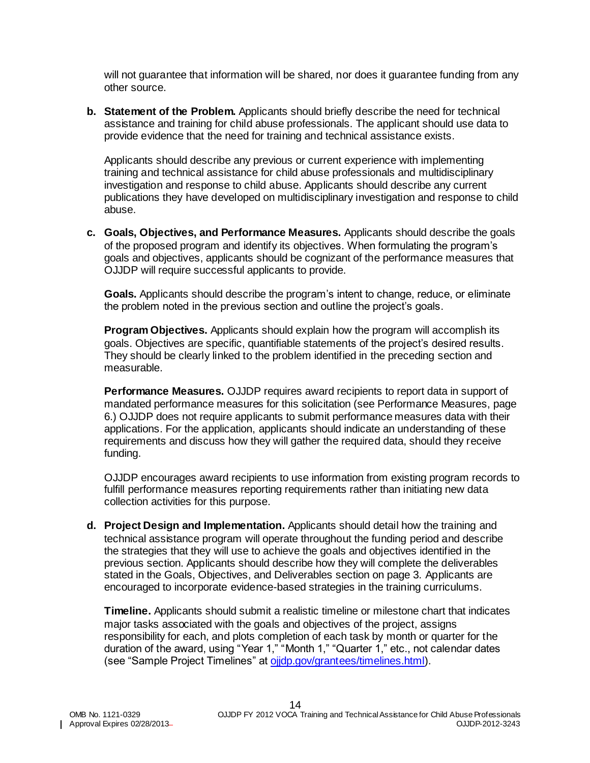will not guarantee that information will be shared, nor does it guarantee funding from any other source.

**b. Statement of the Problem.** Applicants should briefly describe the need for technical assistance and training for child abuse professionals. The applicant should use data to provide evidence that the need for training and technical assistance exists.

Applicants should describe any previous or current experience with implementing training and technical assistance for child abuse professionals and multidisciplinary investigation and response to child abuse. Applicants should describe any current publications they have developed on multidisciplinary investigation and response to child abuse.

**c. Goals, Objectives, and Performance Measures.** Applicants should describe the goals of the proposed program and identify its objectives. When formulating the program's goals and objectives, applicants should be cognizant of the performance measures that OJJDP will require successful applicants to provide.

**Goals.** Applicants should describe the program's intent to change, reduce, or eliminate the problem noted in the previous section and outline the project's goals.

**Program Objectives.** Applicants should explain how the program will accomplish its goals. Objectives are specific, quantifiable statements of the project's desired results. They should be clearly linked to the problem identified in the preceding section and measurable.

**Performance Measures.** OJJDP requires award recipients to report data in support of mandated performance measures for this solicitation (see Performance Measures, page 6.) OJJDP does not require applicants to submit performance measures data with their applications. For the application, applicants should indicate an understanding of these requirements and discuss how they will gather the required data, should they receive funding.

OJJDP encourages award recipients to use information from existing program records to fulfill performance measures reporting requirements rather than initiating new data collection activities for this purpose.

**d. Project Design and Implementation.** Applicants should detail how the training and technical assistance program will operate throughout the funding period and describe the strategies that they will use to achieve the goals and objectives identified in the previous section. Applicants should describe how they will complete the deliverables stated in the Goals, Objectives, and Deliverables section on page 3. Applicants are encouraged to incorporate evidence-based strategies in the training curriculums.

**Timeline.** Applicants should submit a realistic timeline or milestone chart that indicates major tasks associated with the goals and objectives of the project, assigns responsibility for each, and plots completion of each task by month or quarter for the duration of the award, using "Year 1," "Month 1," "Quarter 1," etc., not calendar dates (see "Sample Project Timelines" at [ojjdp.gov/grantees/timelines.html\)](http://ojjdp.gov/grantees/timelines.html).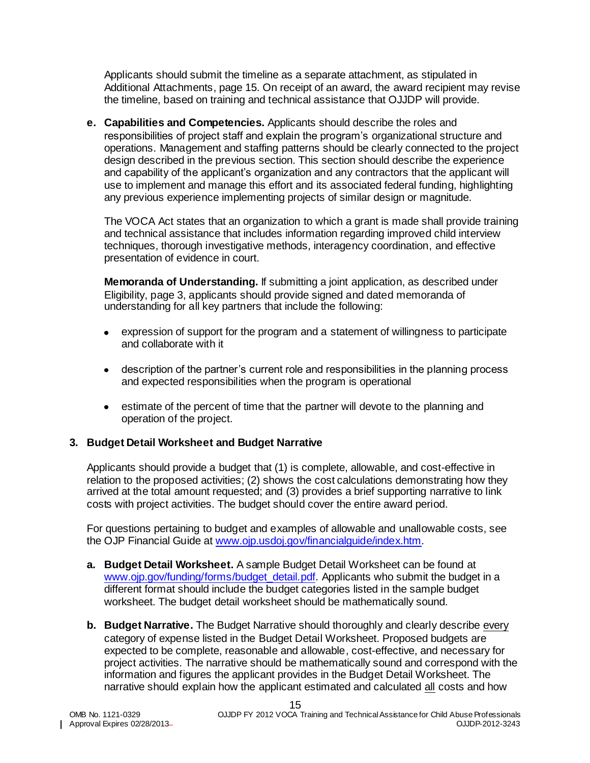Applicants should submit the timeline as a separate attachment, as stipulated in Additional Attachments, page 15. On receipt of an award, the award recipient may revise the timeline, based on training and technical assistance that OJJDP will provide.

**e. Capabilities and Competencies.** Applicants should describe the roles and responsibilities of project staff and explain the program's organizational structure and operations. Management and staffing patterns should be clearly connected to the project design described in the previous section. This section should describe the experience and capability of the applicant's organization and any contractors that the applicant will use to implement and manage this effort and its associated federal funding, highlighting any previous experience implementing projects of similar design or magnitude.

The VOCA Act states that an organization to which a grant is made shall provide training and technical assistance that includes information regarding improved child interview techniques, thorough investigative methods, interagency coordination, and effective presentation of evidence in court.

**Memoranda of Understanding.** If submitting a joint application, as described under Eligibility, page 3, applicants should provide signed and dated memoranda of understanding for all key partners that include the following:

- expression of support for the program and a statement of willingness to participate and collaborate with it
- description of the partner's current role and responsibilities in the planning process and expected responsibilities when the program is operational
- estimate of the percent of time that the partner will devote to the planning and operation of the project.

#### <span id="page-14-0"></span>**3. Budget Detail Worksheet and Budget Narrative**

Applicants should provide a budget that (1) is complete, allowable, and cost-effective in relation to the proposed activities; (2) shows the cost calculations demonstrating how they arrived at the total amount requested; and (3) provides a brief supporting narrative to link costs with project activities. The budget should cover the entire award period.

For questions pertaining to budget and examples of allowable and unallowable costs, see the OJP Financial Guide at [www.ojp.usdoj.gov/financialguide/index.htm](http://www.ojp.usdoj.gov/financialguide/index.htm)*.*

- **a. Budget Detail Worksheet.** A sample Budget Detail Worksheet can be found at [www.ojp.gov/funding/forms/budget\\_detail.pdf.](http://www.ojp.gov/funding/forms/budget_detail.pdf) Applicants who submit the budget in a different format should include the budget categories listed in the sample budget worksheet. The budget detail worksheet should be mathematically sound.
- **b. Budget Narrative.** The Budget Narrative should thoroughly and clearly describe every category of expense listed in the Budget Detail Worksheet. Proposed budgets are expected to be complete, reasonable and allowable, cost-effective, and necessary for project activities. The narrative should be mathematically sound and correspond with the information and figures the applicant provides in the Budget Detail Worksheet. The narrative should explain how the applicant estimated and calculated all costs and how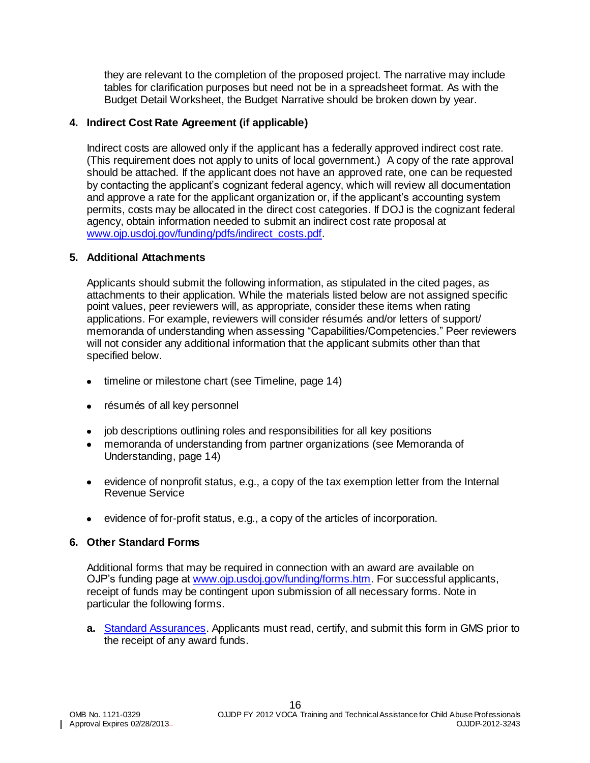they are relevant to the completion of the proposed project. The narrative may include tables for clarification purposes but need not be in a spreadsheet format. As with the Budget Detail Worksheet, the Budget Narrative should be broken down by year.

#### <span id="page-15-0"></span>**4. Indirect Cost Rate Agreement (if applicable)**

Indirect costs are allowed only if the applicant has a federally approved indirect cost rate. (This requirement does not apply to units of local government.) A copy of the rate approval should be attached. If the applicant does not have an approved rate, one can be requested by contacting the applicant's cognizant federal agency, which will review all documentation and approve a rate for the applicant organization or, if the applicant's accounting system permits, costs may be allocated in the direct cost categories. If DOJ is the cognizant federal agency, obtain information needed to submit an indirect cost rate proposal at [www.ojp.usdoj.gov/funding/pdfs/indirect\\_costs.pdf.](http://www.ojp.usdoj.gov/funding/pdfs/indirect_costs.pdf)

#### <span id="page-15-1"></span>**5. Additional Attachments**

Applicants should submit the following information, as stipulated in the cited pages, as attachments to their application. While the materials listed below are not assigned specific point values, peer reviewers will, as appropriate, consider these items when rating applications. For example, reviewers will consider résumés and/or letters of support/ memoranda of understanding when assessing "Capabilities/Competencies." Peer reviewers will not consider any additional information that the applicant submits other than that specified below.

- timeline or milestone chart (see Timeline, page 14)
- résumés of all key personnel
- job descriptions outlining roles and responsibilities for all key positions
- memoranda of understanding from partner organizations (see Memoranda of Understanding, page 14)
- evidence of nonprofit status, e.g., a copy of the tax exemption letter from the Internal Revenue Service
- evidence of for-profit status, e.g., a copy of the articles of incorporation.

#### <span id="page-15-2"></span>**6. Other Standard Forms**

Additional forms that may be required in connection with an award are available on OJP's funding page at [www.ojp.usdoj.gov/funding/forms.htm.](http://www.ojp.usdoj.gov/funding/forms.htm) For successful applicants, receipt of funds may be contingent upon submission of all necessary forms. Note in particular the following forms.

**a.** [Standard Assurances.](http://www.ojp.usdoj.gov/funding/forms/std_assurances.pdf) Applicants must read, certify, and submit this form in GMS prior to the receipt of any award funds.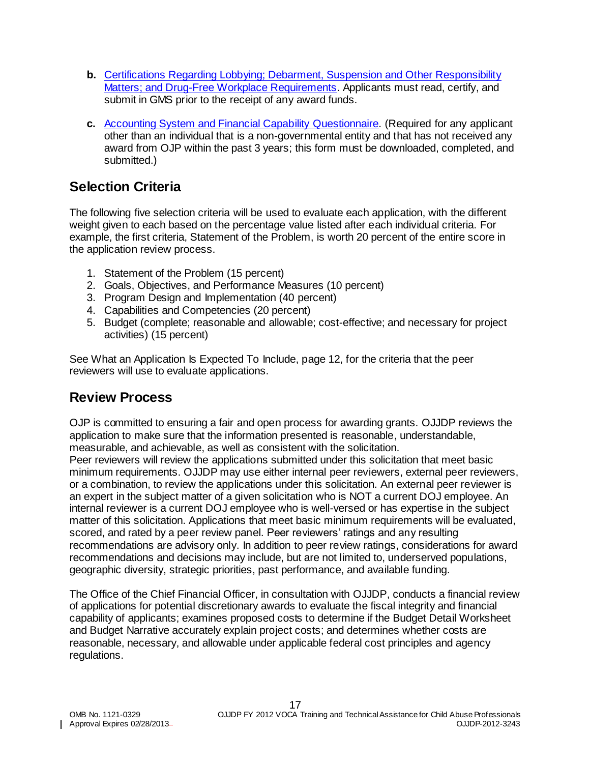- **b.** [Certifications Regarding Lobbying; Debarment, Suspension and Other Responsibility](http://www.ojp.usdoj.gov/funding/forms/certifications.pdf)  [Matters; and Drug-Free Workplace Requirements.](http://www.ojp.usdoj.gov/funding/forms/certifications.pdf) Applicants must read, certify, and submit in GMS prior to the receipt of any award funds.
- **c.** [Accounting System and Financial Capability Questionnaire](http://www.ojp.usdoj.gov/funding/forms/financial_capability.pdf)*.* (Required for any applicant other than an individual that is a non-governmental entity and that has not received any award from OJP within the past 3 years; this form must be downloaded, completed, and submitted.)

### <span id="page-16-0"></span>**Selection Criteria**

The following five selection criteria will be used to evaluate each application, with the different weight given to each based on the percentage value listed after each individual criteria. For example, the first criteria, Statement of the Problem, is worth 20 percent of the entire score in the application review process.

- 1. Statement of the Problem (15 percent)
- 2. Goals, Objectives, and Performance Measures (10 percent)
- 3. Program Design and Implementation (40 percent)
- 4. Capabilities and Competencies (20 percent)
- 5. Budget (complete; reasonable and allowable; cost-effective; and necessary for project activities) (15 percent)

See What an Application Is Expected To Include, page 12, for the criteria that the peer reviewers will use to evaluate applications.

### <span id="page-16-1"></span>**Review Process**

OJP is committed to ensuring a fair and open process for awarding grants. OJJDP reviews the application to make sure that the information presented is reasonable, understandable, measurable, and achievable, as well as consistent with the solicitation.

Peer reviewers will review the applications submitted under this solicitation that meet basic minimum requirements. OJJDP may use either internal peer reviewers, external peer reviewers, or a combination, to review the applications under this solicitation. An external peer reviewer is an expert in the subject matter of a given solicitation who is NOT a current DOJ employee. An internal reviewer is a current DOJ employee who is well-versed or has expertise in the subject matter of this solicitation. Applications that meet basic minimum requirements will be evaluated, scored, and rated by a peer review panel. Peer reviewers' ratings and any resulting recommendations are advisory only. In addition to peer review ratings, considerations for award recommendations and decisions may include, but are not limited to, underserved populations, geographic diversity, strategic priorities, past performance, and available funding.

The Office of the Chief Financial Officer, in consultation with OJJDP, conducts a financial review of applications for potential discretionary awards to evaluate the fiscal integrity and financial capability of applicants; examines proposed costs to determine if the Budget Detail Worksheet and Budget Narrative accurately explain project costs; and determines whether costs are reasonable, necessary, and allowable under applicable federal cost principles and agency regulations.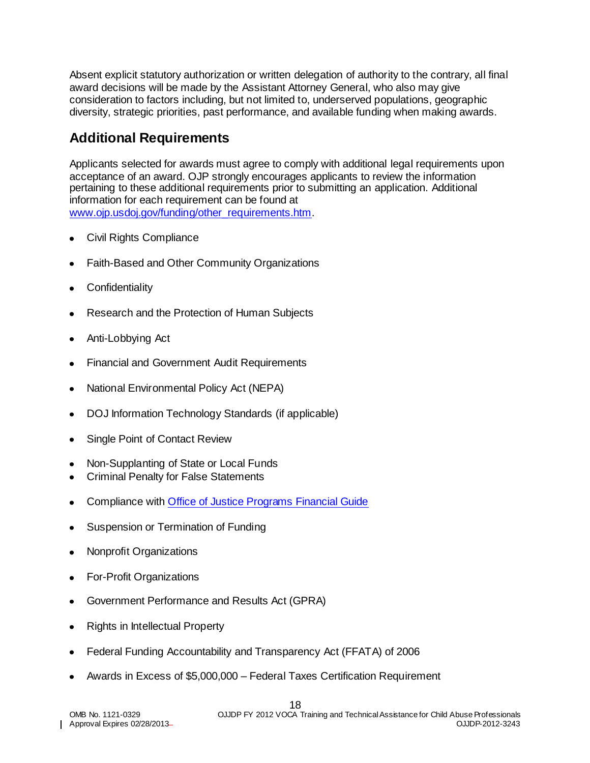Absent explicit statutory authorization or written delegation of authority to the contrary, all final award decisions will be made by the Assistant Attorney General, who also may give consideration to factors including, but not limited to, underserved populations, geographic diversity, strategic priorities, past performance, and available funding when making awards.

# <span id="page-17-0"></span>**Additional Requirements**

Applicants selected for awards must agree to comply with additional legal requirements upon acceptance of an award. OJP strongly encourages applicants to review the information pertaining to these additional requirements prior to submitting an application. Additional information for each requirement can be found at [www.ojp.usdoj.gov/funding/other\\_requirements.htm.](http://www.ojp.usdoj.gov/funding/other_requirements.htm)

- [Civil Rights Compliance](http://www.ojp.usdoj.gov/about/ocr/statutes.htm)
- Faith-Based and Other Community Organizations
- **Confidentiality**
- Research and the Protection of Human Subjects
- Anti-Lobbying Act
- Financial and Government Audit Requirements
- National Environmental Policy Act (NEPA)
- DOJ Information Technology Standards (if applicable)
- Single Point of Contact Review
- Non-Supplanting of State or Local Funds
- Criminal Penalty for False Statements
- Compliance with [Office of Justice Programs Financial Guide](http://www.ojp.usdoj.gov/financialguide/index.htm)
- Suspension or Termination of Funding
- Nonprofit Organizations
- For-Profit Organizations
- Government Performance and Results Act (GPRA)
- Rights in Intellectual Property
- Federal Funding Accountability and Transparency Act (FFATA) of 2006
- Awards in Excess of \$5,000,000 Federal Taxes Certification Requirement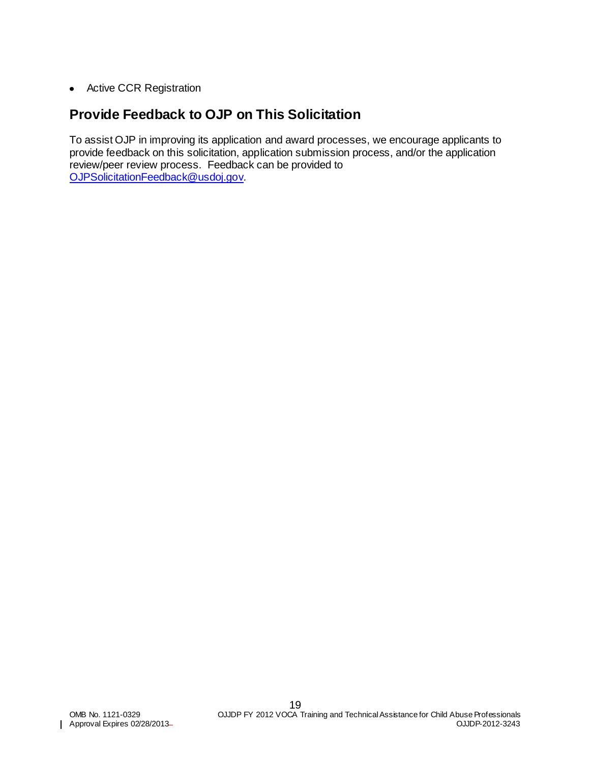**•** Active CCR Registration

### <span id="page-18-0"></span>**Provide Feedback to OJP on This Solicitation**

To assist OJP in improving its application and award processes, we encourage applicants to provide feedback on this solicitation, application submission process, and/or the application review/peer review process. Feedback can be provided to [OJPSolicitationFeedback@usdoj.gov](mailto:OJPSolicitationFeedback@usdoj.gov)*.*